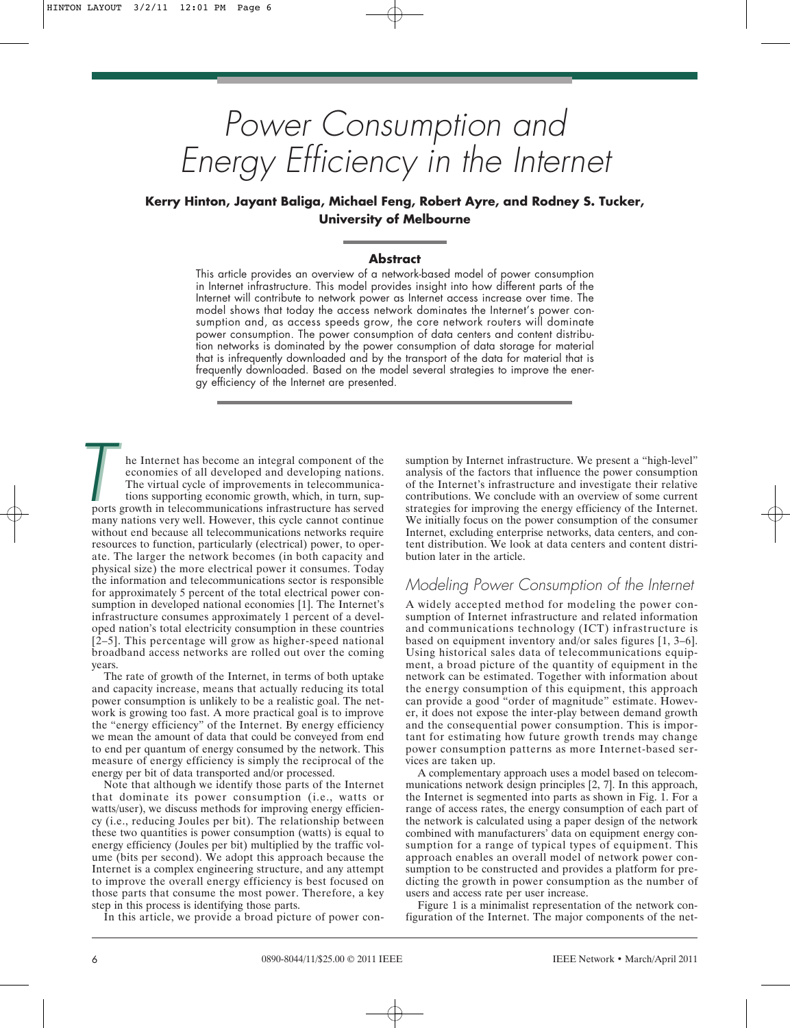# Power Consumption and Energy Efficiency in the Internet

## **Kerry Hinton, Jayant Baliga, Michael Feng, Robert Ayre, and Rodney S. Tucker, University of Melbourne**

#### **Abstract**

This article provides an overview of a network-based model of power consumption in Internet infrastructure. This model provides insight into how different parts of the Internet will contribute to network power as Internet access increase over time. The model shows that today the access network dominates the Internet's power consumption and, as access speeds grow, the core network routers will dominate power consumption. The power consumption of data centers and content distribution networks is dominated by the power consumption of data storage for material that is infrequently downloaded and by the transport of the data for material that is frequently downloaded. Based on the model several strategies to improve the energy efficiency of the Internet are presented.

he Internet has become an integral component of the economies of all developed and developing nations. The virtual cycle of improvements in telecommunications supporting economic growth, which, in turn, supports growth in telecommunications infrastructure has served many nations very well. However, this cycle cannot continue without end because all telecommunications networks require resources to function, particularly (electrical) power, to operate. The larger the network becomes (in both capacity and physical size) the more electrical power it consumes. Today the information and telecommunications sector is responsible for approximately 5 percent of the total electrical power consumption in developed national economies [1]. The Internet's infrastructure consumes approximately 1 percent of a developed nation's total electricity consumption in these countries [2–5]. This percentage will grow as higher-speed national broadband access networks are rolled out over the coming years.  $T$ 

The rate of growth of the Internet, in terms of both uptake and capacity increase, means that actually reducing its total power consumption is unlikely to be a realistic goal. The network is growing too fast. A more practical goal is to improve the "energy efficiency" of the Internet. By energy efficiency we mean the amount of data that could be conveyed from end to end per quantum of energy consumed by the network. This measure of energy efficiency is simply the reciprocal of the energy per bit of data transported and/or processed.

Note that although we identify those parts of the Internet that dominate its power consumption (i.e., watts or watts/user), we discuss methods for improving energy efficiency (i.e., reducing Joules per bit). The relationship between these two quantities is power consumption (watts) is equal to energy efficiency (Joules per bit) multiplied by the traffic volume (bits per second). We adopt this approach because the Internet is a complex engineering structure, and any attempt to improve the overall energy efficiency is best focused on those parts that consume the most power. Therefore, a key step in this process is identifying those parts.

In this article, we provide a broad picture of power con-

sumption by Internet infrastructure. We present a "high-level" analysis of the factors that influence the power consumption of the Internet's infrastructure and investigate their relative contributions. We conclude with an overview of some current strategies for improving the energy efficiency of the Internet. We initially focus on the power consumption of the consumer Internet, excluding enterprise networks, data centers, and content distribution. We look at data centers and content distribution later in the article.

# Modeling Power Consumption of the Internet

A widely accepted method for modeling the power consumption of Internet infrastructure and related information and communications technology (ICT) infrastructure is based on equipment inventory and/or sales figures [1, 3–6]. Using historical sales data of telecommunications equipment, a broad picture of the quantity of equipment in the network can be estimated. Together with information about the energy consumption of this equipment, this approach can provide a good "order of magnitude" estimate. However, it does not expose the inter-play between demand growth and the consequential power consumption. This is important for estimating how future growth trends may change power consumption patterns as more Internet-based services are taken up.

A complementary approach uses a model based on telecommunications network design principles [2, 7]. In this approach, the Internet is segmented into parts as shown in Fig. 1. For a range of access rates, the energy consumption of each part of the network is calculated using a paper design of the network combined with manufacturers' data on equipment energy consumption for a range of typical types of equipment. This approach enables an overall model of network power consumption to be constructed and provides a platform for predicting the growth in power consumption as the number of users and access rate per user increase.

Figure 1 is a minimalist representation of the network configuration of the Internet. The major components of the net-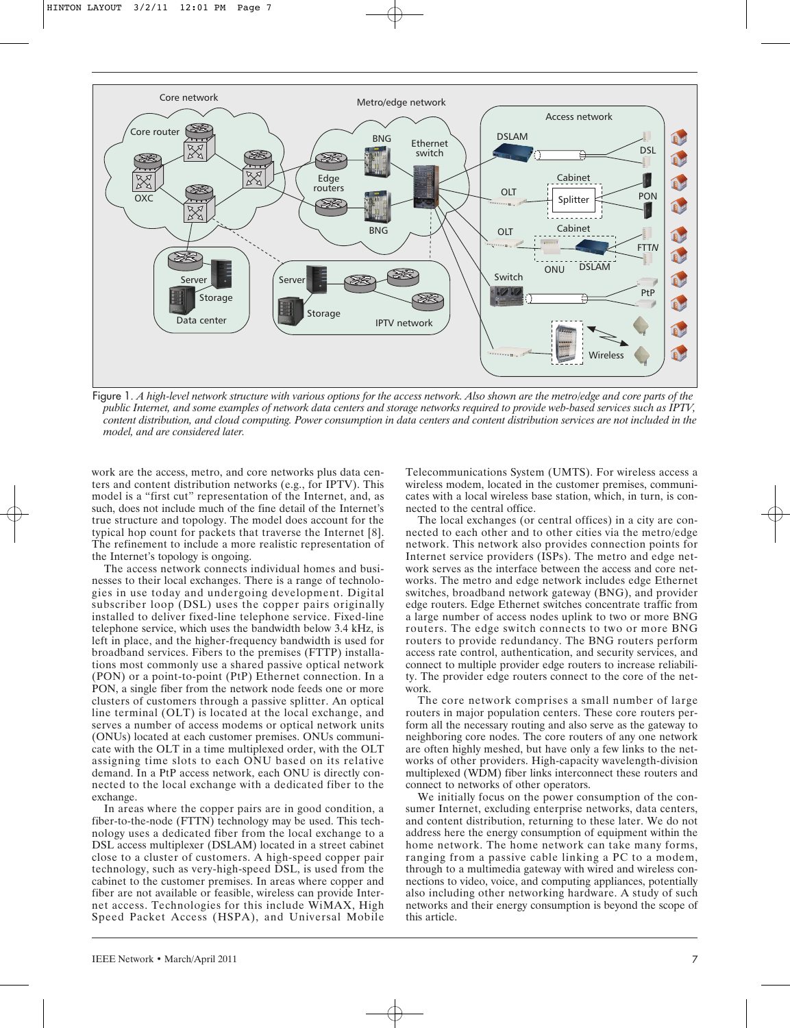

Figure 1. *A high-level network structure with various options for the access network. Also shown are the metro/edge and core parts of the public Internet, and some examples of network data centers and storage networks required to provide web-based services such as IPTV, content distribution, and cloud computing. Power consumption in data centers and content distribution services are not included in the model, and are considered later.*

work are the access, metro, and core networks plus data centers and content distribution networks (e.g., for IPTV). This model is a "first cut" representation of the Internet, and, as such, does not include much of the fine detail of the Internet's true structure and topology. The model does account for the typical hop count for packets that traverse the Internet [8]. The refinement to include a more realistic representation of the Internet's topology is ongoing.

The access network connects individual homes and businesses to their local exchanges. There is a range of technologies in use today and undergoing development. Digital subscriber loop (DSL) uses the copper pairs originally installed to deliver fixed-line telephone service. Fixed-line telephone service, which uses the bandwidth below 3.4 kHz, is left in place, and the higher-frequency bandwidth is used for broadband services. Fibers to the premises (FTTP) installations most commonly use a shared passive optical network (PON) or a point-to-point (PtP) Ethernet connection. In a PON, a single fiber from the network node feeds one or more clusters of customers through a passive splitter. An optical line terminal (OLT) is located at the local exchange, and serves a number of access modems or optical network units (ONUs) located at each customer premises. ONUs communicate with the OLT in a time multiplexed order, with the OLT assigning time slots to each ONU based on its relative demand. In a PtP access network, each ONU is directly connected to the local exchange with a dedicated fiber to the exchange.

In areas where the copper pairs are in good condition, a fiber-to-the-node (FTTN) technology may be used. This technology uses a dedicated fiber from the local exchange to a DSL access multiplexer (DSLAM) located in a street cabinet close to a cluster of customers. A high-speed copper pair technology, such as very-high-speed DSL, is used from the cabinet to the customer premises. In areas where copper and fiber are not available or feasible, wireless can provide Internet access. Technologies for this include WiMAX, High Speed Packet Access (HSPA), and Universal Mobile

Telecommunications System (UMTS). For wireless access a wireless modem, located in the customer premises, communicates with a local wireless base station, which, in turn, is connected to the central office.

The local exchanges (or central offices) in a city are connected to each other and to other cities via the metro/edge network. This network also provides connection points for Internet service providers (ISPs). The metro and edge network serves as the interface between the access and core networks. The metro and edge network includes edge Ethernet switches, broadband network gateway (BNG), and provider edge routers. Edge Ethernet switches concentrate traffic from a large number of access nodes uplink to two or more BNG routers. The edge switch connects to two or more BNG routers to provide redundancy. The BNG routers perform access rate control, authentication, and security services, and connect to multiple provider edge routers to increase reliability. The provider edge routers connect to the core of the network.

The core network comprises a small number of large routers in major population centers. These core routers perform all the necessary routing and also serve as the gateway to neighboring core nodes. The core routers of any one network are often highly meshed, but have only a few links to the networks of other providers. High-capacity wavelength-division multiplexed (WDM) fiber links interconnect these routers and connect to networks of other operators.

We initially focus on the power consumption of the consumer Internet, excluding enterprise networks, data centers, and content distribution, returning to these later. We do not address here the energy consumption of equipment within the home network. The home network can take many forms, ranging from a passive cable linking a PC to a modem, through to a multimedia gateway with wired and wireless connections to video, voice, and computing appliances, potentially also including other networking hardware. A study of such networks and their energy consumption is beyond the scope of this article.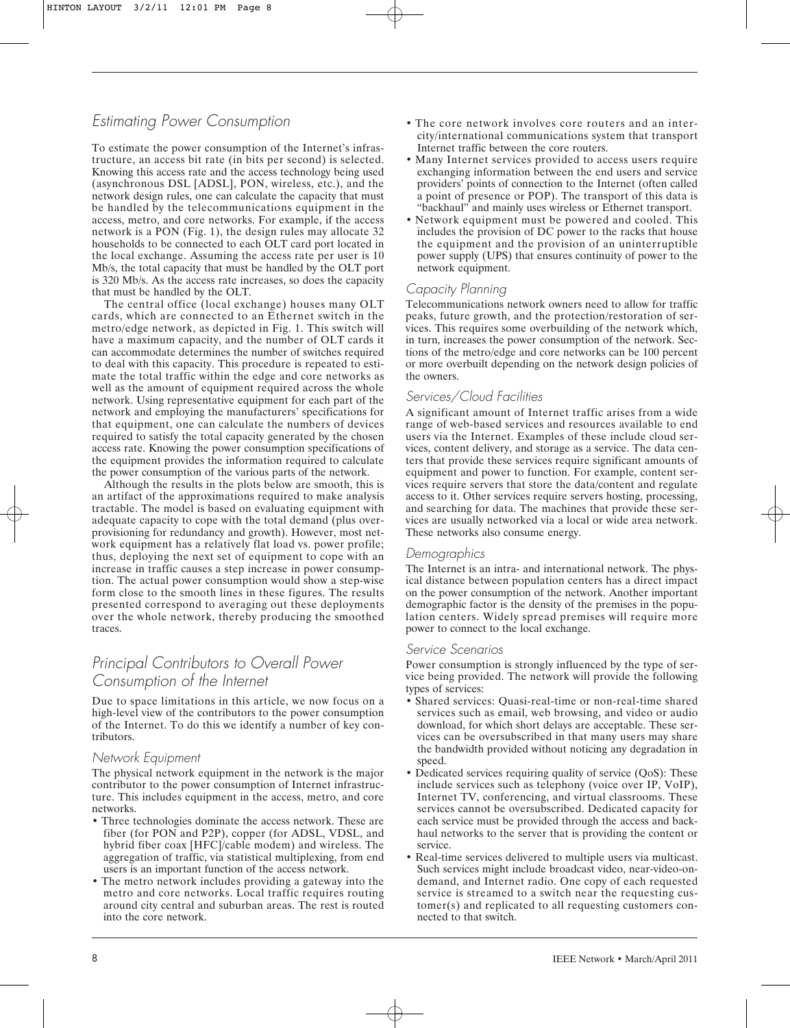# Estimating Power Consumption

To estimate the power consumption of the Internet's infrastructure, an access bit rate (in bits per second) is selected. Knowing this access rate and the access technology being used (asynchronous DSL [ADSL], PON, wireless, etc.), and the network design rules, one can calculate the capacity that must be handled by the telecommunications equipment in the access, metro, and core networks. For example, if the access network is a PON (Fig. 1), the design rules may allocate 32 households to be connected to each OLT card port located in the local exchange. Assuming the access rate per user is 10 Mb/s, the total capacity that must be handled by the OLT port is 320 Mb/s. As the access rate increases, so does the capacity that must be handled by the OLT.

The central office (local exchange) houses many OLT cards, which are connected to an Ethernet switch in the metro/edge network, as depicted in Fig. 1. This switch will have a maximum capacity, and the number of OLT cards it can accommodate determines the number of switches required to deal with this capacity. This procedure is repeated to estimate the total traffic within the edge and core networks as well as the amount of equipment required across the whole network. Using representative equipment for each part of the network and employing the manufacturers' specifications for that equipment, one can calculate the numbers of devices required to satisfy the total capacity generated by the chosen access rate. Knowing the power consumption specifications of the equipment provides the information required to calculate the power consumption of the various parts of the network.

Although the results in the plots below are smooth, this is an artifact of the approximations required to make analysis tractable. The model is based on evaluating equipment with adequate capacity to cope with the total demand (plus overprovisioning for redundancy and growth). However, most network equipment has a relatively flat load vs. power profile; thus, deploying the next set of equipment to cope with an increase in traffic causes a step increase in power consumption. The actual power consumption would show a step-wise form close to the smooth lines in these figures. The results presented correspond to averaging out these deployments over the whole network, thereby producing the smoothed traces.

# Principal Contributors to Overall Power Consumption of the Internet

Due to space limitations in this article, we now focus on a high-level view of the contributors to the power consumption of the Internet. To do this we identify a number of key contributors.

## Network Equipment

The physical network equipment in the network is the major contributor to the power consumption of Internet infrastructure. This includes equipment in the access, metro, and core networks.

- Three technologies dominate the access network. These are fiber (for PON and P2P), copper (for ADSL, VDSL, and hybrid fiber coax [HFC]/cable modem) and wireless. The aggregation of traffic, via statistical multiplexing, from end users is an important function of the access network.
- The metro network includes providing a gateway into the metro and core networks. Local traffic requires routing around city central and suburban areas. The rest is routed into the core network.
- The core network involves core routers and an intercity/international communications system that transport Internet traffic between the core routers.
- Many Internet services provided to access users require exchanging information between the end users and service providers' points of connection to the Internet (often called a point of presence or POP). The transport of this data is "backhaul" and mainly uses wireless or Ethernet transport.
- Network equipment must be powered and cooled. This includes the provision of DC power to the racks that house the equipment and the provision of an uninterruptible power supply (UPS) that ensures continuity of power to the network equipment.

## Capacity Planning

Telecommunications network owners need to allow for traffic peaks, future growth, and the protection/restoration of services. This requires some overbuilding of the network which, in turn, increases the power consumption of the network. Sections of the metro/edge and core networks can be 100 percent or more overbuilt depending on the network design policies of the owners.

## Services/Cloud Facilities

A significant amount of Internet traffic arises from a wide range of web-based services and resources available to end users via the Internet. Examples of these include cloud services, content delivery, and storage as a service. The data centers that provide these services require significant amounts of equipment and power to function. For example, content services require servers that store the data/content and regulate access to it. Other services require servers hosting, processing, and searching for data. The machines that provide these services are usually networked via a local or wide area network. These networks also consume energy.

#### Demographics

The Internet is an intra- and international network. The physical distance between population centers has a direct impact on the power consumption of the network. Another important demographic factor is the density of the premises in the population centers. Widely spread premises will require more power to connect to the local exchange.

### Service Scenarios

Power consumption is strongly influenced by the type of service being provided. The network will provide the following types of services:

- Shared services: Quasi-real-time or non-real-time shared services such as email, web browsing, and video or audio download, for which short delays are acceptable. These services can be oversubscribed in that many users may share the bandwidth provided without noticing any degradation in speed.
- Dedicated services requiring quality of service (QoS): These include services such as telephony (voice over IP, VoIP), Internet TV, conferencing, and virtual classrooms. These services cannot be oversubscribed. Dedicated capacity for each service must be provided through the access and backhaul networks to the server that is providing the content or service.
- Real-time services delivered to multiple users via multicast. Such services might include broadcast video, near-video-ondemand, and Internet radio. One copy of each requested service is streamed to a switch near the requesting customer(s) and replicated to all requesting customers connected to that switch.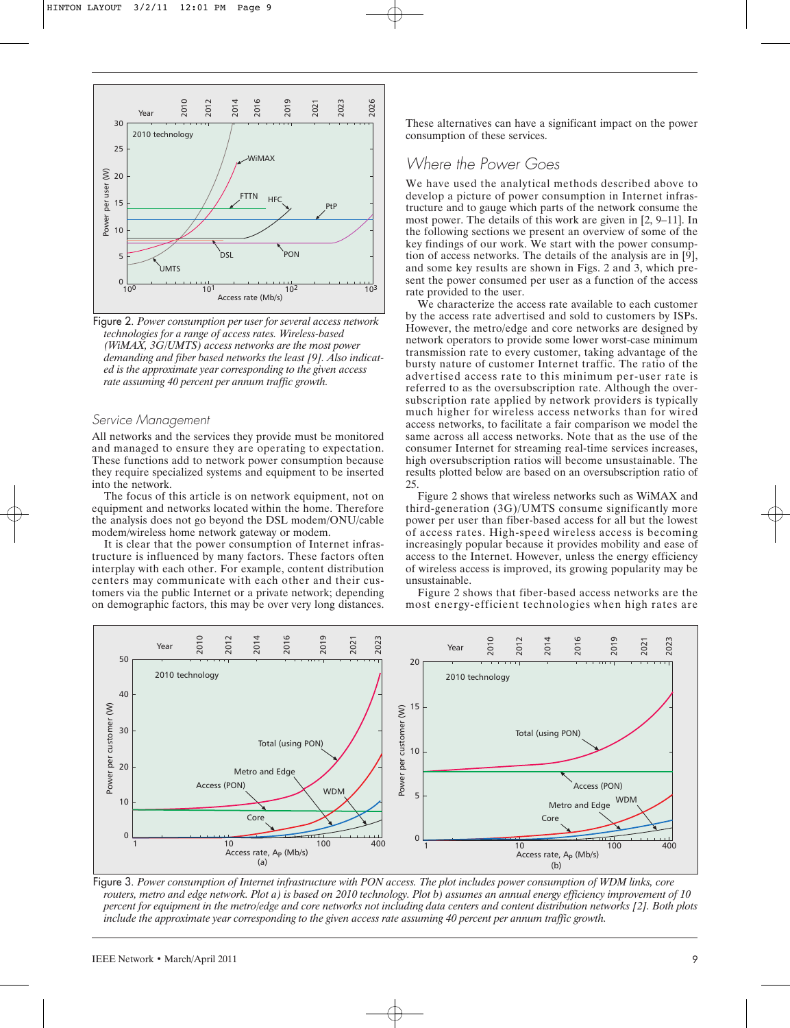

Figure 2. *Power consumption per user for several access network technologies for a range of access rates. Wireless-based (WiMAX, 3G/UMTS) access networks are the most power demanding and fiber based networks the least [9]. Also indicated is the approximate year corresponding to the given access rate assuming 40 percent per annum traffic growth.*

#### Service Management

All networks and the services they provide must be monitored and managed to ensure they are operating to expectation. These functions add to network power consumption because they require specialized systems and equipment to be inserted into the network.

The focus of this article is on network equipment, not on equipment and networks located within the home. Therefore the analysis does not go beyond the DSL modem/ONU/cable modem/wireless home network gateway or modem.

It is clear that the power consumption of Internet infrastructure is influenced by many factors. These factors often interplay with each other. For example, content distribution centers may communicate with each other and their customers via the public Internet or a private network; depending on demographic factors, this may be over very long distances.

These alternatives can have a significant impact on the power consumption of these services.

## Where the Power Goes

We have used the analytical methods described above to develop a picture of power consumption in Internet infrastructure and to gauge which parts of the network consume the most power. The details of this work are given in [2, 9–11]. In the following sections we present an overview of some of the key findings of our work. We start with the power consumption of access networks. The details of the analysis are in [9], and some key results are shown in Figs. 2 and 3, which present the power consumed per user as a function of the access rate provided to the user.

We characterize the access rate available to each customer by the access rate advertised and sold to customers by ISPs. However, the metro/edge and core networks are designed by network operators to provide some lower worst-case minimum transmission rate to every customer, taking advantage of the bursty nature of customer Internet traffic. The ratio of the advertised access rate to this minimum per-user rate is referred to as the oversubscription rate. Although the oversubscription rate applied by network providers is typically much higher for wireless access networks than for wired access networks, to facilitate a fair comparison we model the same across all access networks. Note that as the use of the consumer Internet for streaming real-time services increases, high oversubscription ratios will become unsustainable. The results plotted below are based on an oversubscription ratio of 25.

Figure 2 shows that wireless networks such as WiMAX and third-generation (3G)/UMTS consume significantly more power per user than fiber-based access for all but the lowest of access rates. High-speed wireless access is becoming increasingly popular because it provides mobility and ease of access to the Internet. However, unless the energy efficiency of wireless access is improved, its growing popularity may be unsustainable.

Figure 2 shows that fiber-based access networks are the most energy-efficient technologies when high rates are



Figure 3. *Power consumption of Internet infrastructure with PON access. The plot includes power consumption of WDM links, core routers, metro and edge network. Plot a) is based on 2010 technology. Plot b) assumes an annual energy efficiency improvement of 10 percent for equipment in the metro/edge and core networks not including data centers and content distribution networks [2]. Both plots include the approximate year corresponding to the given access rate assuming 40 percent per annum traffic growth.*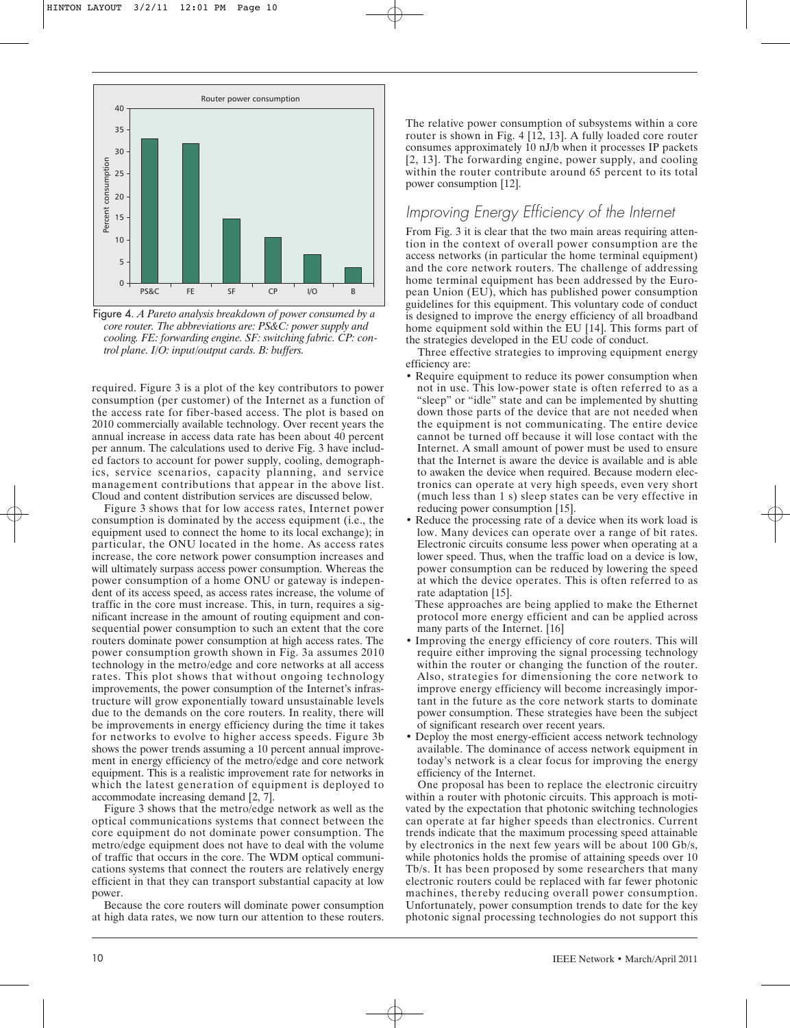

Figure 4. *A Pareto analysis breakdown of power consumed by a core router. The abbreviations are: PS&C: power supply and cooling. FE: forwarding engine. SF: switching fabric. CP: control plane. I/O: input/output cards. B: buffers.*

required. Figure 3 is a plot of the key contributors to power consumption (per customer) of the Internet as a function of the access rate for fiber-based access. The plot is based on 2010 commercially available technology. Over recent years the annual increase in access data rate has been about 40 percent per annum. The calculations used to derive Fig. 3 have included factors to account for power supply, cooling, demographics, service scenarios, capacity planning, and service management contributions that appear in the above list. Cloud and content distribution services are discussed below.

Figure 3 shows that for low access rates, Internet power consumption is dominated by the access equipment (i.e., the equipment used to connect the home to its local exchange); in particular, the ONU located in the home. As access rates increase, the core network power consumption increases and will ultimately surpass access power consumption. Whereas the power consumption of a home ONU or gateway is independent of its access speed, as access rates increase, the volume of traffic in the core must increase. This, in turn, requires a significant increase in the amount of routing equipment and consequential power consumption to such an extent that the core routers dominate power consumption at high access rates. The power consumption growth shown in Fig. 3a assumes 2010 technology in the metro/edge and core networks at all access rates. This plot shows that without ongoing technology improvements, the power consumption of the Internet's infrastructure will grow exponentially toward unsustainable levels due to the demands on the core routers. In reality, there will be improvements in energy efficiency during the time it takes for networks to evolve to higher access speeds. Figure 3b shows the power trends assuming a 10 percent annual improvement in energy efficiency of the metro/edge and core network equipment. This is a realistic improvement rate for networks in which the latest generation of equipment is deployed to accommodate increasing demand [2, 7].

Figure 3 shows that the metro/edge network as well as the optical communications systems that connect between the core equipment do not dominate power consumption. The metro/edge equipment does not have to deal with the volume of traffic that occurs in the core. The WDM optical communications systems that connect the routers are relatively energy efficient in that they can transport substantial capacity at low power.

Because the core routers will dominate power consumption at high data rates, we now turn our attention to these routers.

The relative power consumption of subsystems within a core router is shown in Fig. 4 [12, 13]. A fully loaded core router consumes approximately 10 nJ/b when it processes IP packets [2, 13]. The forwarding engine, power supply, and cooling within the router contribute around 65 percent to its total power consumption [12].

# Improving Energy Efficiency of the Internet

From Fig. 3 it is clear that the two main areas requiring attention in the context of overall power consumption are the access networks (in particular the home terminal equipment) and the core network routers. The challenge of addressing home terminal equipment has been addressed by the European Union (EU), which has published power consumption guidelines for this equipment. This voluntary code of conduct is designed to improve the energy efficiency of all broadband home equipment sold within the EU [14]. This forms part of the strategies developed in the EU code of conduct.

Three effective strategies to improving equipment energy efficiency are:

- Require equipment to reduce its power consumption when not in use. This low-power state is often referred to as a "sleep" or "idle" state and can be implemented by shutting down those parts of the device that are not needed when the equipment is not communicating. The entire device cannot be turned off because it will lose contact with the Internet. A small amount of power must be used to ensure that the Internet is aware the device is available and is able to awaken the device when required. Because modern electronics can operate at very high speeds, even very short (much less than 1 s) sleep states can be very effective in reducing power consumption [15].
- Reduce the processing rate of a device when its work load is low. Many devices can operate over a range of bit rates. Electronic circuits consume less power when operating at a lower speed. Thus, when the traffic load on a device is low, power consumption can be reduced by lowering the speed at which the device operates. This is often referred to as rate adaptation [15].

These approaches are being applied to make the Ethernet protocol more energy efficient and can be applied across many parts of the Internet. [16]

- Improving the energy efficiency of core routers. This will require either improving the signal processing technology within the router or changing the function of the router. Also, strategies for dimensioning the core network to improve energy efficiency will become increasingly important in the future as the core network starts to dominate power consumption. These strategies have been the subject of significant research over recent years.
- Deploy the most energy-efficient access network technology available. The dominance of access network equipment in today's network is a clear focus for improving the energy efficiency of the Internet.

One proposal has been to replace the electronic circuitry within a router with photonic circuits. This approach is motivated by the expectation that photonic switching technologies can operate at far higher speeds than electronics. Current trends indicate that the maximum processing speed attainable by electronics in the next few years will be about 100 Gb/s, while photonics holds the promise of attaining speeds over 10 Tb/s. It has been proposed by some researchers that many electronic routers could be replaced with far fewer photonic machines, thereby reducing overall power consumption. Unfortunately, power consumption trends to date for the key photonic signal processing technologies do not support this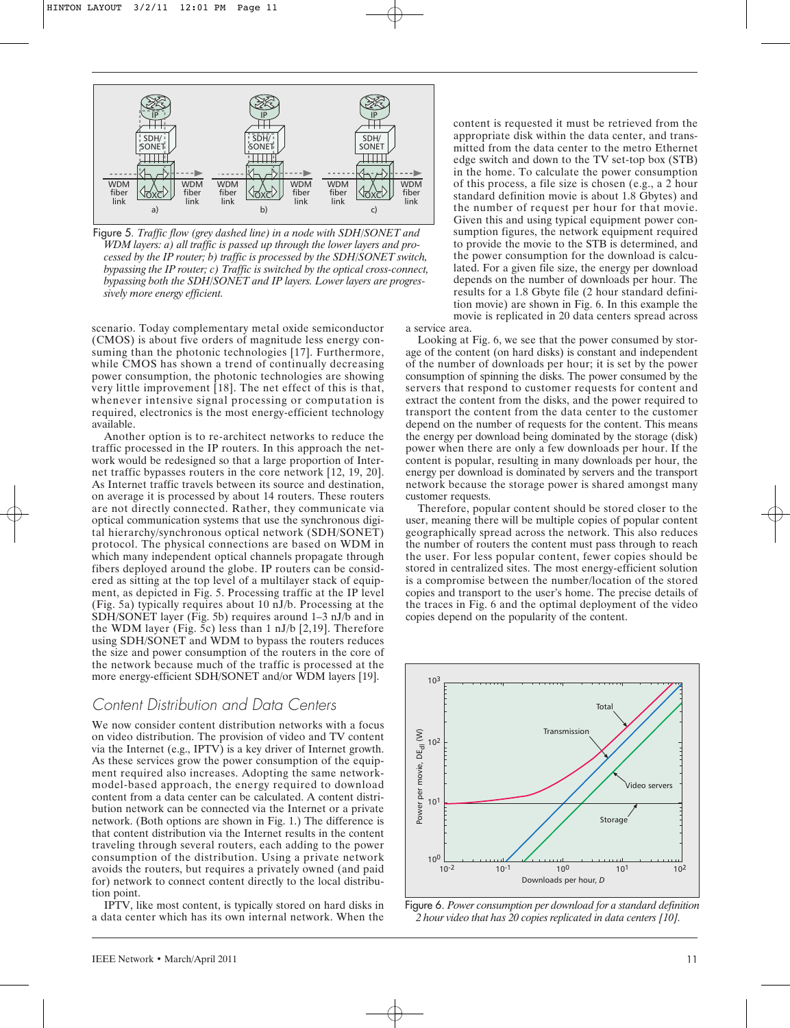

Figure 5. *Traffic flow (grey dashed line) in a node with SDH/SONET and WDM layers: a) all traffic is passed up through the lower layers and processed by the IP router; b) traffic is processed by the SDH/SONET switch, bypassing the IP router; c) Traffic is switched by the optical cross-connect, bypassing both the SDH/SONET and IP layers. Lower layers are progressively more energy efficient.*

scenario. Today complementary metal oxide semiconductor (CMOS) is about five orders of magnitude less energy consuming than the photonic technologies [17]. Furthermore, while CMOS has shown a trend of continually decreasing power consumption, the photonic technologies are showing very little improvement [18]. The net effect of this is that, whenever intensive signal processing or computation is required, electronics is the most energy-efficient technology available.

Another option is to re-architect networks to reduce the traffic processed in the IP routers. In this approach the network would be redesigned so that a large proportion of Internet traffic bypasses routers in the core network [12, 19, 20]. As Internet traffic travels between its source and destination, on average it is processed by about 14 routers. These routers are not directly connected. Rather, they communicate via optical communication systems that use the synchronous digital hierarchy/synchronous optical network (SDH/SONET) protocol. The physical connections are based on WDM in which many independent optical channels propagate through fibers deployed around the globe. IP routers can be considered as sitting at the top level of a multilayer stack of equipment, as depicted in Fig. 5. Processing traffic at the IP level (Fig. 5a) typically requires about 10 nJ/b. Processing at the SDH/SONET layer (Fig. 5b) requires around 1–3 nJ/b and in the WDM layer (Fig. 5c) less than 1 nJ/b [2,19]. Therefore using SDH/SONET and WDM to bypass the routers reduces the size and power consumption of the routers in the core of the network because much of the traffic is processed at the more energy-efficient SDH/SONET and/or WDM layers [19].

## Content Distribution and Data Centers

We now consider content distribution networks with a focus on video distribution. The provision of video and TV content via the Internet (e.g., IPTV) is a key driver of Internet growth. As these services grow the power consumption of the equipment required also increases. Adopting the same networkmodel-based approach, the energy required to download content from a data center can be calculated. A content distribution network can be connected via the Internet or a private network. (Both options are shown in Fig. 1.) The difference is that content distribution via the Internet results in the content traveling through several routers, each adding to the power consumption of the distribution. Using a private network avoids the routers, but requires a privately owned (and paid for) network to connect content directly to the local distribution point.

IPTV, like most content, is typically stored on hard disks in a data center which has its own internal network. When the

content is requested it must be retrieved from the appropriate disk within the data center, and transmitted from the data center to the metro Ethernet edge switch and down to the TV set-top box (STB) in the home. To calculate the power consumption of this process, a file size is chosen (e.g., a 2 hour standard definition movie is about 1.8 Gbytes) and the number of request per hour for that movie. Given this and using typical equipment power consumption figures, the network equipment required to provide the movie to the STB is determined, and the power consumption for the download is calculated. For a given file size, the energy per download depends on the number of downloads per hour. The results for a 1.8 Gbyte file (2 hour standard definition movie) are shown in Fig. 6. In this example the movie is replicated in 20 data centers spread across

a service area.

Looking at Fig. 6, we see that the power consumed by storage of the content (on hard disks) is constant and independent of the number of downloads per hour; it is set by the power consumption of spinning the disks. The power consumed by the servers that respond to customer requests for content and extract the content from the disks, and the power required to transport the content from the data center to the customer depend on the number of requests for the content. This means the energy per download being dominated by the storage (disk) power when there are only a few downloads per hour. If the content is popular, resulting in many downloads per hour, the energy per download is dominated by servers and the transport network because the storage power is shared amongst many customer requests.

Therefore, popular content should be stored closer to the user, meaning there will be multiple copies of popular content geographically spread across the network. This also reduces the number of routers the content must pass through to reach the user. For less popular content, fewer copies should be stored in centralized sites. The most energy-efficient solution is a compromise between the number/location of the stored copies and transport to the user's home. The precise details of the traces in Fig. 6 and the optimal deployment of the video copies depend on the popularity of the content.



Figure 6. *Power consumption per download for a standard definition 2 hour video that has 20 copies replicated in data centers [10].*